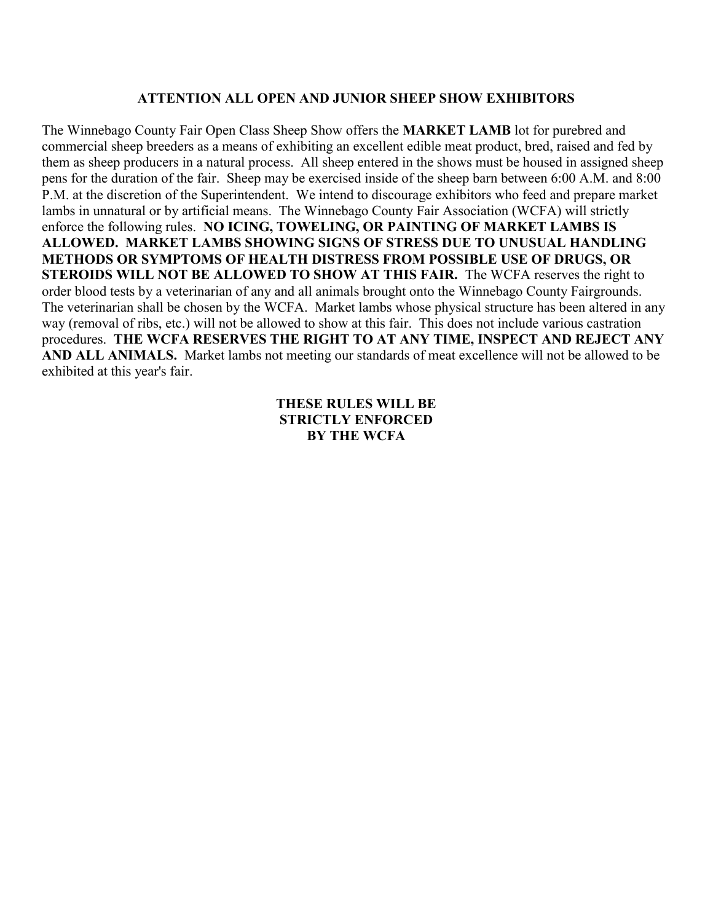# **ATTENTION ALL OPEN AND JUNIOR SHEEP SHOW EXHIBITORS**

The Winnebago County Fair Open Class Sheep Show offers the **MARKET LAMB** lot for purebred and commercial sheep breeders as a means of exhibiting an excellent edible meat product, bred, raised and fed by them as sheep producers in a natural process. All sheep entered in the shows must be housed in assigned sheep pens for the duration of the fair. Sheep may be exercised inside of the sheep barn between 6:00 A.M. and 8:00 P.M. at the discretion of the Superintendent. We intend to discourage exhibitors who feed and prepare market lambs in unnatural or by artificial means. The Winnebago County Fair Association (WCFA) will strictly enforce the following rules. **NO ICING, TOWELING, OR PAINTING OF MARKET LAMBS IS ALLOWED. MARKET LAMBS SHOWING SIGNS OF STRESS DUE TO UNUSUAL HANDLING METHODS OR SYMPTOMS OF HEALTH DISTRESS FROM POSSIBLE USE OF DRUGS, OR STEROIDS WILL NOT BE ALLOWED TO SHOW AT THIS FAIR.** The WCFA reserves the right to order blood tests by a veterinarian of any and all animals brought onto the Winnebago County Fairgrounds. The veterinarian shall be chosen by the WCFA. Market lambs whose physical structure has been altered in any way (removal of ribs, etc.) will not be allowed to show at this fair. This does not include various castration procedures. **THE WCFA RESERVES THE RIGHT TO AT ANY TIME, INSPECT AND REJECT ANY AND ALL ANIMALS.** Market lambs not meeting our standards of meat excellence will not be allowed to be exhibited at this year's fair.

# **THESE RULES WILL BE STRICTLY ENFORCED BY THE WCFA**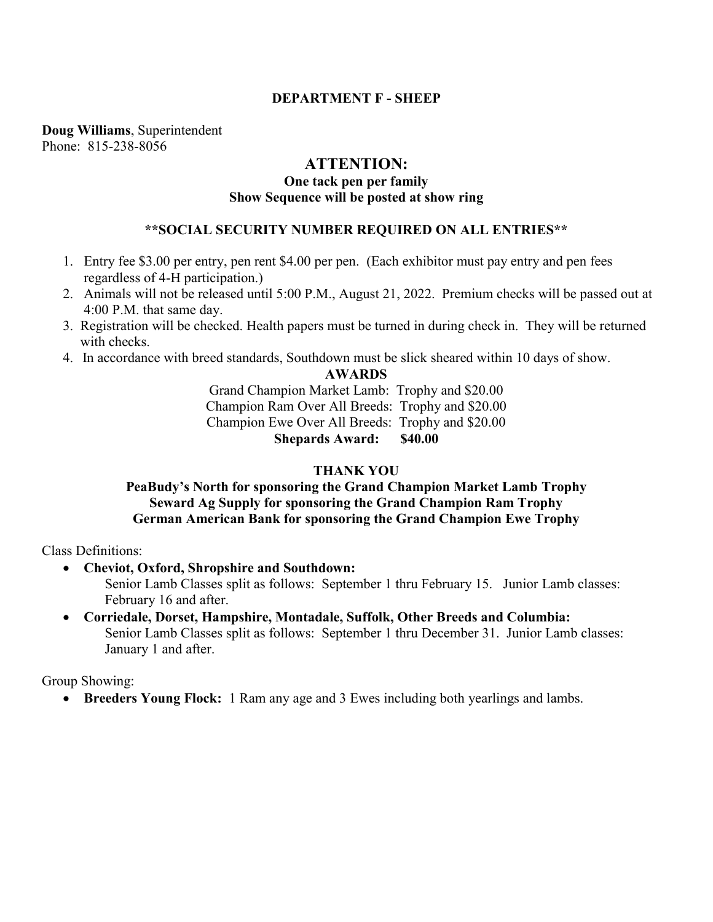# **DEPARTMENT F - SHEEP**

**Doug Williams**, Superintendent Phone: 815-238-8056

## **ATTENTION:**

# **One tack pen per family Show Sequence will be posted at show ring**

# **\*\*SOCIAL SECURITY NUMBER REQUIRED ON ALL ENTRIES\*\***

- 1. Entry fee \$3.00 per entry, pen rent \$4.00 per pen. (Each exhibitor must pay entry and pen fees regardless of 4-H participation.)
- 2. Animals will not be released until 5:00 P.M., August 21, 2022. Premium checks will be passed out at 4:00 P.M. that same day.
- 3. Registration will be checked. Health papers must be turned in during check in. They will be returned with checks.
- 4. In accordance with breed standards, Southdown must be slick sheared within 10 days of show.

#### **AWARDS**

Grand Champion Market Lamb: Trophy and \$20.00 Champion Ram Over All Breeds: Trophy and \$20.00 Champion Ewe Over All Breeds: Trophy and \$20.00 **Shepards Award: \$40.00**

# **THANK YOU**

# **PeaBudy's North for sponsoring the Grand Champion Market Lamb Trophy Seward Ag Supply for sponsoring the Grand Champion Ram Trophy German American Bank for sponsoring the Grand Champion Ewe Trophy**

Class Definitions:

**Cheviot, Oxford, Shropshire and Southdown:**

Senior Lamb Classes split as follows: September 1 thru February 15. Junior Lamb classes: February 16 and after.

 **Corriedale, Dorset, Hampshire, Montadale, Suffolk, Other Breeds and Columbia:** Senior Lamb Classes split as follows: September 1 thru December 31. Junior Lamb classes: January 1 and after.

Group Showing:

**Breeders Young Flock:** 1 Ram any age and 3 Ewes including both yearlings and lambs.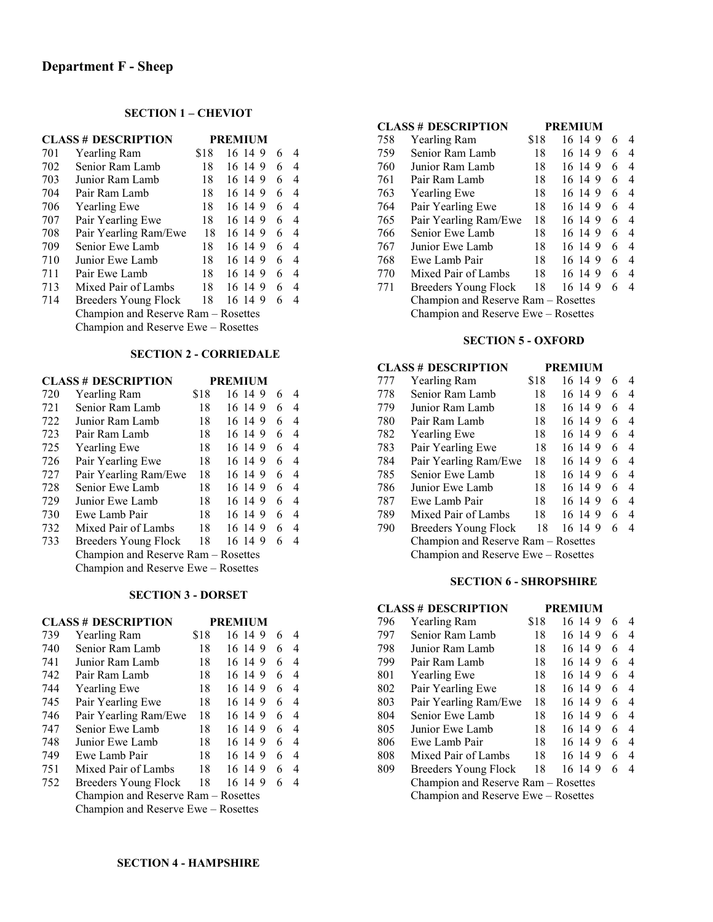#### **SECTION 1 – CHEVIOT**

|     | <b>CLASS # DESCRIPTION</b>          |      | <b>PREMIUM</b> |   |   |
|-----|-------------------------------------|------|----------------|---|---|
| 701 | <b>Yearling Ram</b>                 | \$18 | 16 14 9        | 6 | 4 |
| 702 | Senior Ram Lamb                     | 18   | 16 14 9        | 6 | 4 |
| 703 | Junior Ram Lamb                     | 18   | 16 14 9        | 6 | 4 |
| 704 | Pair Ram Lamb                       | 18   | 16 14 9        | 6 | 4 |
| 706 | <b>Yearling Ewe</b>                 | 18   | 16 14 9        | 6 | 4 |
| 707 | Pair Yearling Ewe                   | 18   | 16 14 9        | 6 | 4 |
| 708 | Pair Yearling Ram/Ewe               | 18   | 16 14 9        | 6 | 4 |
| 709 | Senior Ewe Lamb                     | 18   | 16 14 9        | 6 | 4 |
| 710 | Junior Ewe Lamb                     | 18   | 16 14 9        | 6 | 4 |
| 711 | Pair Ewe Lamb                       | 18   | 16 14 9        | 6 | 4 |
| 713 | Mixed Pair of Lambs                 | 18   | 16 14 9        | 6 | 4 |
| 714 | Breeders Young Flock                | 18   | 16 14 9        | 6 | 4 |
|     | Champion and Reserve Ram - Rosettes |      |                |   |   |
|     | Champion and Reserve Ewe - Rosettes |      |                |   |   |

#### **SECTION 2 - CORRIEDALE**

|     | <b>CLASS # DESCRIPTION</b>          |      | <b>PREMIUM</b> |   |   |  |
|-----|-------------------------------------|------|----------------|---|---|--|
| 720 | <b>Yearling Ram</b>                 | \$18 | 16 14 9        | 6 | 4 |  |
| 721 | Senior Ram Lamb                     | 18   | 16 14 9        | 6 | 4 |  |
| 722 | Junior Ram Lamb                     | 18   | 16 14 9        | 6 | 4 |  |
| 723 | Pair Ram Lamb                       | 18   | 16 14 9        | 6 | 4 |  |
| 725 | <b>Yearling Ewe</b>                 | 18   | 16 14 9        | 6 | 4 |  |
| 726 | Pair Yearling Ewe                   | 18   | 16 14 9        | 6 | 4 |  |
| 727 | Pair Yearling Ram/Ewe               | 18   | 16 14 9        | 6 | 4 |  |
| 728 | Senior Ewe Lamb                     | 18   | 16 14 9        | 6 | 4 |  |
| 729 | Junior Ewe Lamb                     | 18   | 16 14 9        | 6 | 4 |  |
| 730 | Ewe Lamb Pair                       | 18   | 16 14 9        | 6 | 4 |  |
| 732 | Mixed Pair of Lambs                 | 18   | 16 14 9        | 6 | 4 |  |
| 733 | Breeders Young Flock                | 18   | 16 14 9        | 6 | 4 |  |
|     | Champion and Reserve Ram - Rosettes |      |                |   |   |  |
|     | Champion and Reserve Ewe – Rosettes |      |                |   |   |  |

#### **SECTION 3 - DORSET**

| <b>CLASS # DESCRIPTION</b> |                                     |      | <b>PREMIUM</b> |   |   |  |  |
|----------------------------|-------------------------------------|------|----------------|---|---|--|--|
| 739                        | <b>Yearling Ram</b>                 | \$18 | 16 14 9        | 6 | 4 |  |  |
| 740                        | Senior Ram Lamb                     | 18   | 16 14 9        | 6 | 4 |  |  |
| 741                        | Junior Ram Lamb                     | 18   | 16 14 9        | 6 | 4 |  |  |
| 742                        | Pair Ram Lamb                       | 18   | 16 14 9        | 6 | 4 |  |  |
| 744                        | <b>Yearling Ewe</b>                 | 18   | 16 14 9        | 6 | 4 |  |  |
| 745                        | Pair Yearling Ewe                   | 18   | 16 14 9        | 6 | 4 |  |  |
| 746                        | Pair Yearling Ram/Ewe               | 18   | 16 14 9        | 6 | 4 |  |  |
| 747                        | Senior Ewe Lamb                     | 18   | 16 14 9        | 6 | 4 |  |  |
| 748                        | Junior Ewe Lamb                     | 18   | 16 14 9        | 6 | 4 |  |  |
| 749                        | Ewe Lamb Pair                       | 18   | 16 14 9        | 6 | 4 |  |  |
| 751                        | Mixed Pair of Lambs                 | 18   | 16 14 9        | 6 | 4 |  |  |
| 752                        | Breeders Young Flock                | 18   | 16 14 9        | 6 | 4 |  |  |
|                            | Champion and Reserve Ram – Rosettes |      |                |   |   |  |  |
|                            | Champion and Reserve Ewe – Rosettes |      |                |   |   |  |  |

|     | <b>CLASS # DESCRIPTION</b>          |      | <b>PREMIUM</b> |   |   |
|-----|-------------------------------------|------|----------------|---|---|
| 758 | Yearling Ram                        | \$18 | 16 14 9        | 6 | 4 |
| 759 | Senior Ram Lamb                     | 18   | 16 14 9        | 6 | 4 |
| 760 | Junior Ram Lamb                     | 18   | 16 14 9        | 6 | 4 |
| 761 | Pair Ram Lamb                       | 18   | 16 14 9        | 6 | 4 |
| 763 | <b>Yearling Ewe</b>                 | 18   | 16 14 9        | 6 | 4 |
| 764 | Pair Yearling Ewe                   | 18   | 16 14 9        | 6 | 4 |
| 765 | Pair Yearling Ram/Ewe               | 18   | 16 14 9        | 6 | 4 |
| 766 | Senior Ewe Lamb                     | 18   | 16 14 9        | 6 | 4 |
| 767 | Junior Ewe Lamb                     | 18   | 16 14 9        | 6 | 4 |
| 768 | Ewe Lamb Pair                       | 18   | 16 14 9        | 6 | 4 |
| 770 | Mixed Pair of Lambs                 | 18   | 16 14 9        | 6 | 4 |
| 771 | Breeders Young Flock                | 18   | 16 14 9        | 6 | 4 |
|     | Champion and Reserve Ram – Rosettes |      |                |   |   |

Champion and Reserve Ewe – Rosettes

# **SECTION 5 - OXFORD**

|     | <b>CLASS # DESCRIPTION</b>          |      | <b>PREMIUM</b> |   |   |  |  |
|-----|-------------------------------------|------|----------------|---|---|--|--|
| 777 | <b>Yearling Ram</b>                 | \$18 | 16 14 9        | 6 | 4 |  |  |
| 778 | Senior Ram Lamb                     | 18   | 16 14 9        | 6 | 4 |  |  |
| 779 | Junior Ram Lamb                     | 18   | 16 14 9        | 6 | 4 |  |  |
| 780 | Pair Ram Lamb                       | 18   | 16 14 9        | 6 | 4 |  |  |
| 782 | <b>Yearling Ewe</b>                 | 18   | 16 14 9        | 6 | 4 |  |  |
| 783 | Pair Yearling Ewe                   | 18   | 16 14 9        | 6 | 4 |  |  |
| 784 | Pair Yearling Ram/Ewe               | 18   | 16 14 9        | 6 | 4 |  |  |
| 785 | Senior Ewe Lamb                     | 18   | 16 14 9        | 6 | 4 |  |  |
| 786 | Junior Ewe Lamb                     | 18   | 16 14 9        | 6 | 4 |  |  |
| 787 | Ewe Lamb Pair                       | 18   | 16 14 9        | 6 | 4 |  |  |
| 789 | Mixed Pair of Lambs                 | 18   | 16 14 9        | 6 | 4 |  |  |
| 790 | Breeders Young Flock                | 18   | 16 14 9        | 6 | 4 |  |  |
|     | Champion and Reserve Ram – Rosettes |      |                |   |   |  |  |
|     | Champion and Reserve Ewe – Rosettes |      |                |   |   |  |  |

# **SECTION 6 - SHROPSHIRE**

|     | <b>CLASS # DESCRIPTION</b>          |      | <b>PREMIUM</b> |   |   |  |
|-----|-------------------------------------|------|----------------|---|---|--|
| 796 | <b>Yearling Ram</b>                 | \$18 | 16 14 9        | 6 | 4 |  |
| 797 | Senior Ram Lamb                     | 18   | 16 14 9        | 6 | 4 |  |
| 798 | Junior Ram Lamb                     | 18   | 16 14 9        | 6 | 4 |  |
| 799 | Pair Ram Lamb                       | 18   | 16 14 9        | 6 | 4 |  |
| 801 | <b>Yearling Ewe</b>                 | 18   | 16 14 9        | 6 | 4 |  |
| 802 | Pair Yearling Ewe                   | 18   | 16 14 9        | 6 | 4 |  |
| 803 | Pair Yearling Ram/Ewe               | 18   | 16 14 9        | 6 | 4 |  |
| 804 | Senior Ewe Lamb                     | 18   | 16 14 9        | 6 | 4 |  |
| 805 | Junior Ewe Lamb                     | 18   | 16 14 9        | 6 | 4 |  |
| 806 | Ewe Lamb Pair                       | 18   | 16 14 9        | 6 | 4 |  |
| 808 | Mixed Pair of Lambs                 | 18   | 16 14 9        | 6 | 4 |  |
| 809 | <b>Breeders Young Flock</b>         | 18   | 16 14 9        | 6 | 4 |  |
|     | Champion and Reserve Ram – Rosettes |      |                |   |   |  |
|     | Champion and Reserve Ewe - Rosettes |      |                |   |   |  |